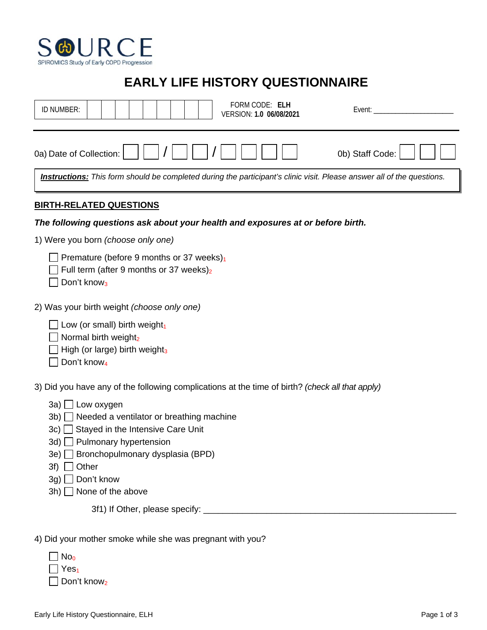

# **EARLY LIFE HISTORY QUESTIONNAIRE**

| FORM CODE: ELH<br>ID NUMBER:<br>Event:<br>VERSION: 1.0 06/08/2021                                                             |  |  |  |  |  |  |  |  |  |
|-------------------------------------------------------------------------------------------------------------------------------|--|--|--|--|--|--|--|--|--|
| 0b) Staff Code:<br>0a) Date of Collection:                                                                                    |  |  |  |  |  |  |  |  |  |
| <b>Instructions:</b> This form should be completed during the participant's clinic visit. Please answer all of the questions. |  |  |  |  |  |  |  |  |  |
| <b>BIRTH-RELATED QUESTIONS</b>                                                                                                |  |  |  |  |  |  |  |  |  |
| The following questions ask about your health and exposures at or before birth.                                               |  |  |  |  |  |  |  |  |  |
| 1) Were you born (choose only one)                                                                                            |  |  |  |  |  |  |  |  |  |
| Premature (before 9 months or 37 weeks)1<br>Full term (after 9 months or 37 weeks) $2$<br>Don't know <sub>3</sub>             |  |  |  |  |  |  |  |  |  |
| 2) Was your birth weight (choose only one)                                                                                    |  |  |  |  |  |  |  |  |  |
| Low (or small) birth weight1<br>Normal birth weight2<br>High (or large) birth weight3                                         |  |  |  |  |  |  |  |  |  |
| Don't know <sub>4</sub>                                                                                                       |  |  |  |  |  |  |  |  |  |
| 3) Did you have any of the following complications at the time of birth? (check all that apply)                               |  |  |  |  |  |  |  |  |  |
| $3a)$ Low oxygen                                                                                                              |  |  |  |  |  |  |  |  |  |
| 3b) Seeded a ventilator or breathing machine                                                                                  |  |  |  |  |  |  |  |  |  |
| 3c) Stayed in the Intensive Care Unit<br>3d) Pulmonary hypertension                                                           |  |  |  |  |  |  |  |  |  |
| 3e) □<br>Bronchopulmonary dysplasia (BPD)                                                                                     |  |  |  |  |  |  |  |  |  |
| 3f)<br>Other                                                                                                                  |  |  |  |  |  |  |  |  |  |
| Don't know<br>3g)                                                                                                             |  |  |  |  |  |  |  |  |  |
| None of the above<br>$3h)$ $\Box$                                                                                             |  |  |  |  |  |  |  |  |  |
|                                                                                                                               |  |  |  |  |  |  |  |  |  |
|                                                                                                                               |  |  |  |  |  |  |  |  |  |

4) Did your mother smoke while she was pregnant with you?

| $\blacksquare$ $\blacksquare$ $\blacksquare$ |
|----------------------------------------------|
| $\vert$   Yes <sub>1</sub>                   |
| $\Box$ Don't know <sub>2</sub>               |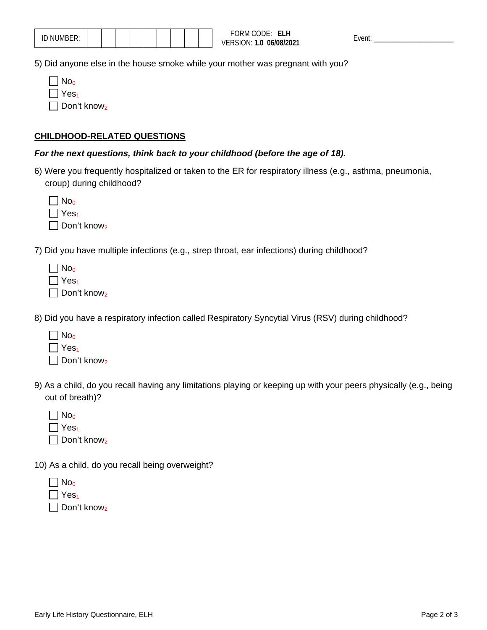| ID MIIMRED<br>`ບ™ບ∟!\. |  |  |  |  |  |  |  |  |  |  |
|------------------------|--|--|--|--|--|--|--|--|--|--|
|------------------------|--|--|--|--|--|--|--|--|--|--|

5) Did anyone else in the house smoke while your mother was pregnant with you?

| $\blacksquare$ No <sub>0</sub> |
|--------------------------------|
| $ $   Yes <sub>1</sub>         |
| $\Box$ Don't know <sub>2</sub> |

#### **CHILDHOOD-RELATED QUESTIONS**

#### *For the next questions, think back to your childhood (before the age of 18).*

6) Were you frequently hospitalized or taken to the ER for respiratory illness (e.g., asthma, pneumonia, croup) during childhood?

| ۱ł<br>n |
|---------|
|         |

 $\Box$  Don't know<sub>2</sub>

7) Did you have multiple infections (e.g., strep throat, ear infections) during childhood?

| $\perp$ | No.                 |
|---------|---------------------|
|         | S <sub>1</sub><br>e |

 $\Box$  Don't know<sub>2</sub>

8) Did you have a respiratory infection called Respiratory Syncytial Virus (RSV) during childhood?

| $\Box$ No <sub>0</sub>         |
|--------------------------------|
| l Yes <sub>1</sub>             |
| $\Box$ Don't know <sub>2</sub> |

9) As a child, do you recall having any limitations playing or keeping up with your peers physically (e.g., being out of breath)?

|--|--|

 $\Box$  Yes<sub>1</sub>

 $\Box$  Don't know<sub>2</sub>

10) As a child, do you recall being overweight?

| $ $ No <sub>0</sub> |
|---------------------|
| $ Yes_1$            |
|                     |

 $\Box$  Don't know<sub>2</sub>